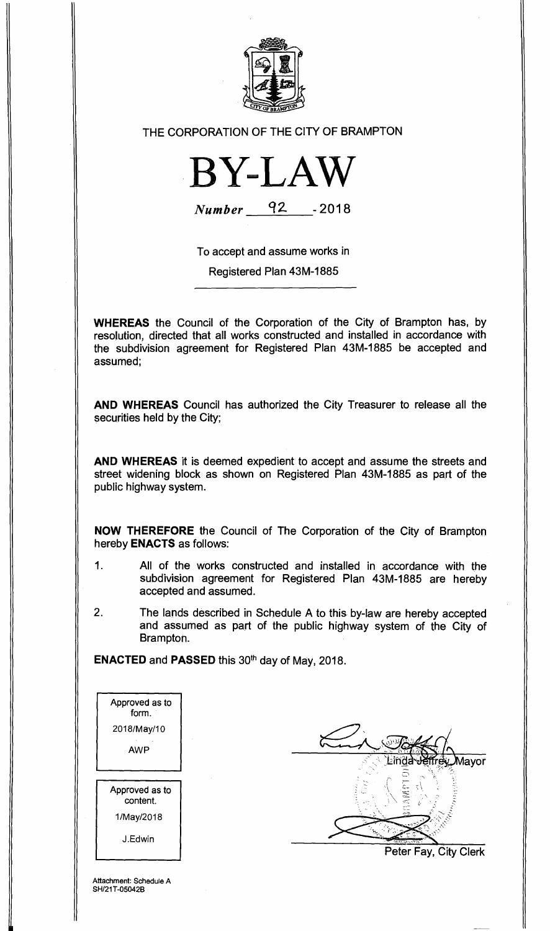

## THE CORPORATION OF THE CITY OF BRAMPTON



**Number 42 -2018** 

To accept and assume works in Registered Plan 43M-1885

**WHEREAS** the Council of the Corporation of the City of Brampton has, by resolution, directed that all works constructed and installed in accordance with the subdivision agreement for Registered Plan 43M-1885 be accepted and assumed;

**AND WHEREAS** Council has authorized the City Treasurer to release all the securities held by the City;

**AND WHEREAS** it is deemed expedient to accept and assume the streets and street widening block as shown on Registered Plan 43M-1885 as part of the public highway system.

**NOW THEREFORE** the Council of The Corporation of the City of Brampton hereby **ENACTS** as follows:

- 1. All of the works constructed and installed in accordance with the subdivision agreement for Registered Plan 43M-1885 are hereby accepted and assumed.
- 2. The lands described in Schedule A to this by-law are hereby accepted and assumed as part of the public highway system of the City of Brampton.

**ENACTED and PASSED this 30<sup>th</sup> day of May, 2018.** 

| Approved as to<br>form.    |
|----------------------------|
| 2018/May/10                |
| AWP                        |
|                            |
| Approved as to<br>content. |
| 1/May/2018                 |
| J.Edwin                    |

**Aavor** 

Peter Fay, City Clerk

Attachment: Schedule A SH/21T-05042B